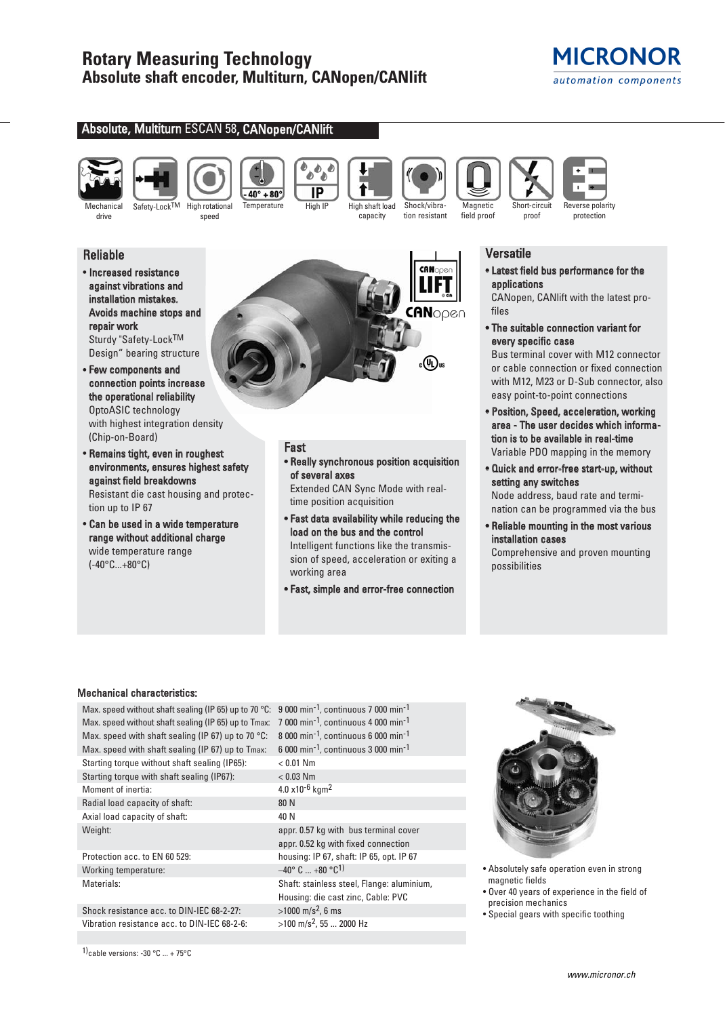$40^\circ + 80^\circ$ 

# **MICRONOR** automation components

## Absolute, Multiturn ESCAN 58, CANopen/CANlift



drive





Safety-Lock<sup>TM</sup> High rotational speed



- Increased resistance against vibrations and installation mistakes. Avoids machine stops and repair work Sturdy "Safety-LockTM Design" bearing structure
- Few components and connection points increase the operational reliability OptoASIC technology with highest integration density (Chip-on-Board)
- Remains tight, even in roughest environments, ensures highest safety against field breakdowns Resistant die cast housing and protec-

tion up to IP 67 • Can be used in a wide temperature range without additional charge

wide temperature range (-40°C...+80°C)



Temperature High IP High shaft load

**Doo** ò  $\overline{IP}$ 

# Fast

### • Really synchronous position acquisition of several axes

capacity

Shock/vibration resistant

Extended CAN Sync Mode with realtime position acquisition

• Fast data availability while reducing the load on the bus and the control Intelligent functions like the transmission of speed, acceleration or exiting a working area

• Fast, simple and error-free connection

## **Versatile**

Short-circuit proof

**Magnetic** field proof

> • Latest field bus performance for the applications

Reverse polarity protection

CANopen, CANlift with the latest profiles

• The suitable connection variant for every specific case

Bus terminal cover with M12 connector or cable connection or fixed connection with M12, M23 or D-Sub connector, also easy point-to-point connections

- Position, Speed, acceleration, working area - The user decides which information is to be available in real-time Variable PDO mapping in the memory
- Quick and error-free start-up, without setting any switches Node address, baud rate and termi-

nation can be programmed via the bus

• Reliable mounting in the most various installation cases

Comprehensive and proven mounting possibilities

### Mechanical characteristics:

| Max. speed without shaft sealing (IP 65) up to 70 °C: | 9 000 min <sup>-1</sup> , continuous 7 000 min <sup>-1</sup>  |
|-------------------------------------------------------|---------------------------------------------------------------|
| Max. speed without shaft sealing (IP 65) up to Tmax:  | $7000$ min <sup>-1</sup> , continuous 4 000 min <sup>-1</sup> |
| Max. speed with shaft sealing (IP 67) up to 70 °C:    | 8 000 min <sup>-1</sup> , continuous 6 000 min <sup>-1</sup>  |
| Max. speed with shaft sealing (IP 67) up to Tmax:     | 6 000 min <sup>-1</sup> , continuous 3 000 min <sup>-1</sup>  |
| Starting torque without shaft sealing (IP65):         | $< 0.01$ Nm                                                   |
| Starting torque with shaft sealing (IP67):            | $< 0.03$ Nm                                                   |
| Moment of inertia:                                    | $4.0 \times 10^{-6}$ kgm <sup>2</sup>                         |
| Radial load capacity of shaft:                        | 80 N                                                          |
| Axial load capacity of shaft:                         | 40 N                                                          |
| Weight:                                               | appr. 0.57 kg with bus terminal cov                           |
|                                                       | appr. 0.52 kg with fixed connection                           |
| Protection acc. to EN 60 529:                         | housing: IP 67, shaft: IP 65, opt. IP                         |
| Working temperature:                                  | $-40^{\circ}$ C $+80^{\circ}$ C <sup>1</sup>                  |
| Materials:                                            | Shaft: stainless steel, Flange: alum                          |
|                                                       | Housing: die cast zinc, Cable: PVC                            |
| Shock resistance acc. to DIN-IEC 68-2-27:             | $>1000$ m/s <sup>2</sup> , 6 ms                               |
| Vibration resistance acc. to DIN-IEC 68-2-6:          | $>100$ m/s <sup>2</sup> , 55  2000 Hz                         |

 $00$  min<sup>-1</sup>, continuous 4 000 min<sup>-1</sup>  $00$  min<sup>-1</sup>, continuous 6 000 min<sup>-1</sup>  $00$  min<sup>-1</sup>, continuous 3 000 min<sup>-1</sup>  $x10^{-6}$  kgm<sup>2</sup> pr. 0.57 kg with bus terminal cover pr. 0.52 kg with fixed connection using: IP 67, shaft: IP 65, opt. IP 67 )° C ... +80 °C<sup>1)</sup> aft: stainless steel, Flange: aluminium, using: die cast zinc, Cable: PVC  $300 \text{ m/s}^2$ , 6 ms



- Absolutely safe operation even in strong magnetic fields
- Over 40 years of experience in the field of precision mechanics
- Special gears with specific toothing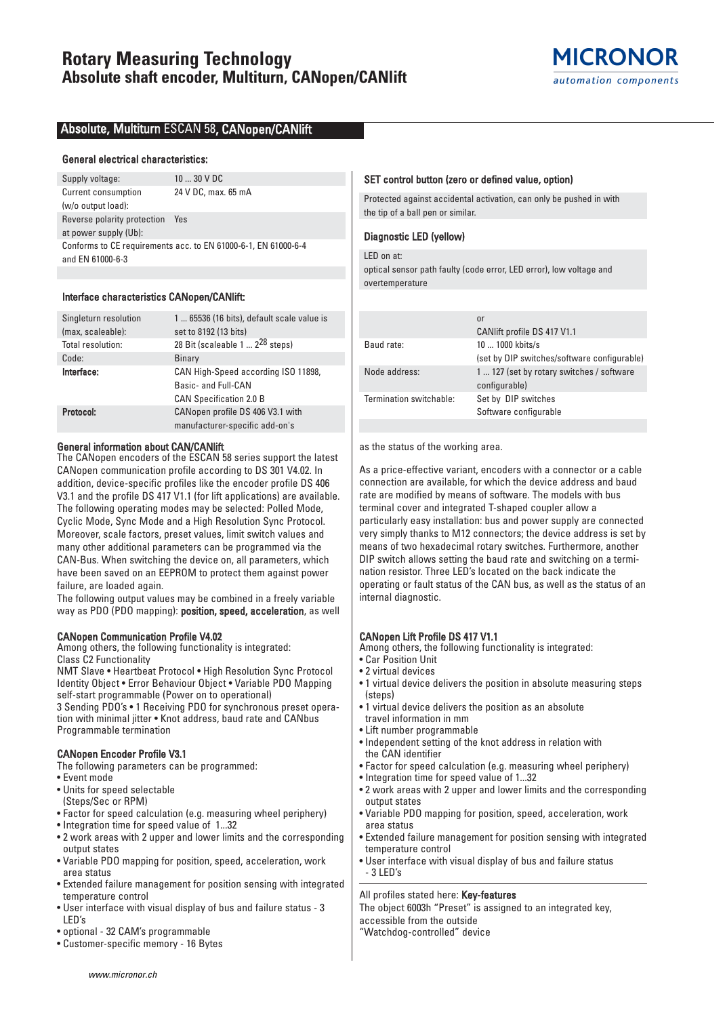## Absolute, Multiturn ESCAN 58, CANopen/CANlift

#### General electrical characteristics:

Supply voltage: 10 ... 30 V DC Current consumption 24 V DC, max. 65 mA (w/o output load): Reverse polarity protection Yes at power supply (Ub): Conforms to CE requirements acc. to EN 61000-6-1, EN 61000-6-4 and EN 61000-6-3

### Interface characteristics CANopen/CANlift:

| Singleturn resolution | 1  65536 (16 bits), default scale value is |
|-----------------------|--------------------------------------------|
| (max, scaleable):     | set to 8192 (13 bits)                      |
| Total resolution:     | 28 Bit (scaleable 1 $2^{28}$ steps)        |
| Code:                 | Binary                                     |
| Interface:            | CAN High-Speed according ISO 11898,        |
|                       | Basic- and Full-CAN                        |
|                       | <b>CAN Specification 2.0 B</b>             |
| Protocol:             | CANopen profile DS 406 V3.1 with           |
|                       | manufacturer-specific add-on's             |

#### General information about CAN/CANlift

The CANopen encoders of the ESCAN 58 series support the latest CANopen communication profile according to DS 301 V4.02. In addition, device-specific profiles like the encoder profile DS 406 V3.1 and the profile DS 417 V1.1 (for lift applications) are available. The following operating modes may be selected: Polled Mode, Cyclic Mode, Sync Mode and a High Resolution Sync Protocol. Moreover, scale factors, preset values, limit switch values and many other additional parameters can be programmed via the CAN-Bus. When switching the device on, all parameters, which have been saved on an EEPROM to protect them against power failure, are loaded again.

The following output values may be combined in a freely variable way as PDO (PDO mapping): position, speed, acceleration, as well

#### CANopen Communication Profile V4.02

Among others, the following functionality is integrated: Class C2 Functionality

NMT Slave • Heartbeat Protocol • High Resolution Sync Protocol Identity Object • Error Behaviour Object • Variable PDO Mapping self-start programmable (Power on to operational)

3 Sending PDO's • 1 Receiving PDO for synchronous preset operation with minimal jitter • Knot address, baud rate and CANbus Programmable termination

### CANopen Encoder Profile V3.1

The following parameters can be programmed:

- Event mode
- Units for speed selectable
- (Steps/Sec or RPM)
- Factor for speed calculation (e.g. measuring wheel periphery)
- Integration time for speed value of 1...32
- 2 work areas with 2 upper and lower limits and the corresponding output states
- Variable PDO mapping for position, speed, acceleration, work area status
- Extended failure management for position sensing with integrated temperature control
- User interface with visual display of bus and failure status 3 LED's
- optional 32 CAM's programmable
- Customer-specific memory 16 Bytes

### SET control button (zero or defined value, option)

Protected against accidental activation, can only be pushed in with the tip of a ball pen or similar.

## Diagnostic LED (yellow)

LED on at: optical sensor path faulty (code error, LED error), low voltage and overtemperature

|                         | or                                          |
|-------------------------|---------------------------------------------|
|                         | CANIift profile DS 417 V1.1                 |
| Baud rate:              | 10  1000 kbits/s                            |
|                         | (set by DIP switches/software configurable) |
| Node address:           | 1  127 (set by rotary switches / software   |
|                         | configurable)                               |
| Termination switchable: | Set by DIP switches                         |
|                         | Software configurable                       |

as the status of the working area.

As a price-effective variant, encoders with a connector or a cable connection are available, for which the device address and baud rate are modified by means of software. The models with bus terminal cover and integrated T-shaped coupler allow a particularly easy installation: bus and power supply are connected very simply thanks to M12 connectors; the device address is set by means of two hexadecimal rotary switches. Furthermore, another DIP switch allows setting the baud rate and switching on a termination resistor. Three LED's located on the back indicate the operating or fault status of the CAN bus, as well as the status of an internal diagnostic.

### CANopen Lift Profile DS 417 V1.1

Among others, the following functionality is integrated:

- Car Position Unit
- 2 virtual devices
- 1 virtual device delivers the position in absolute measuring steps (steps)
- 1 virtual device delivers the position as an absolute
- travel information in mm • Lift number programmable
- Independent setting of the knot address in relation with
- the CAN identifier • Factor for speed calculation (e.g. measuring wheel periphery)
- Integration time for speed value of 1...32
- 2 work areas with 2 upper and lower limits and the corresponding output states
- Variable PDO mapping for position, speed, acceleration, work area status
- Extended failure management for position sensing with integrated temperature control
- User interface with visual display of bus and failure status - 3 LED's

#### All profiles stated here: Key-features

The object 6003h "Preset" is assigned to an integrated key, accessible from the outside "Watchdog-controlled" device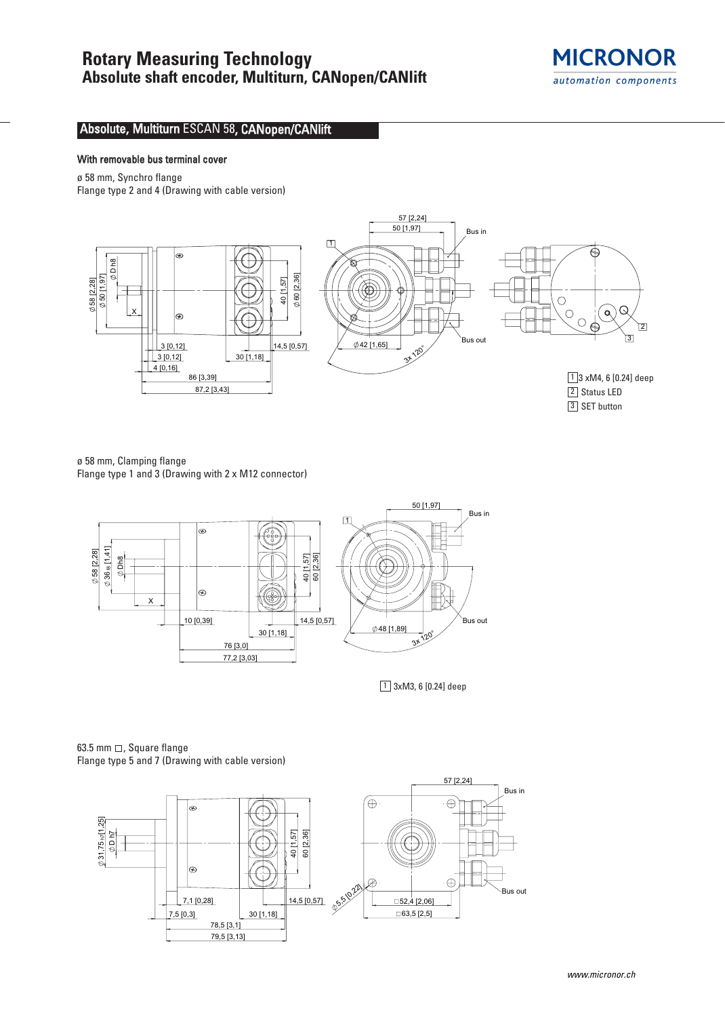

# Absolute, Multiturn ESCAN 58, CANopen/CANlift

### With removable bus terminal cover

ø 58 mm, Synchro flange

Flange type 2 and 4 (Drawing with cable version)



ø 58 mm, Clamping flange Flange type 1 and 3 (Drawing with 2 x M12 connector)



1 3xM3, 6 [0.24] deep

63.5 mm  $\Box$ , Square flange Flange type 5 and 7 (Drawing with cable version)

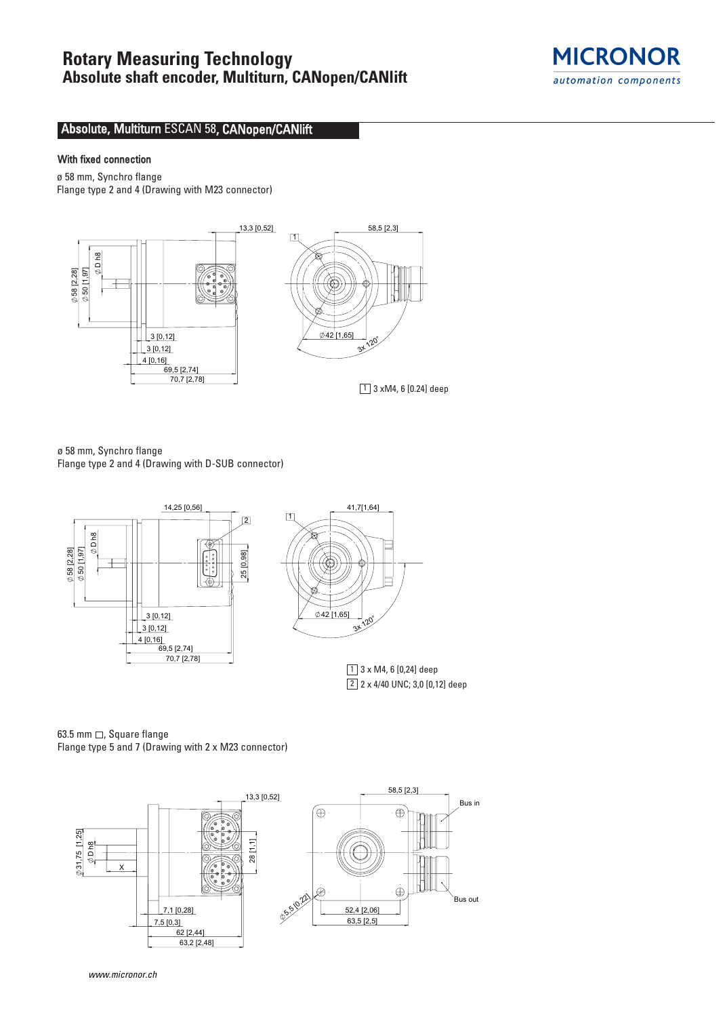

# Absolute, Multiturn ESCAN 58, CANopen/CANlift

## With fixed connection

ø 58 mm, Synchro flange Flange type 2 and 4 (Drawing with M23 connector)

70,7 [2,78] 13,3 [0,52]  $042$  [1  $3<sup>k</sup>$ 58,5 [2,3] 4 [0,16] 3 [0,12] 3 [0,12] D h8 [1,97] 50 [2,28] 58  $69,5$  [2,74]  $\Box$ 

 $\boxed{1}$  3 xM4, 6 [0.24] deep

ø 58 mm, Synchro flange Flange type 2 and 4 (Drawing with D-SUB connector)



 $\boxed{2}$  2 x 4/40 UNC; 3,0  $[0,12]$  deep

63.5 mm  $\Box$ , Square flange Flange type 5 and 7 (Drawing with 2 x M23 connector)



www.micronor.ch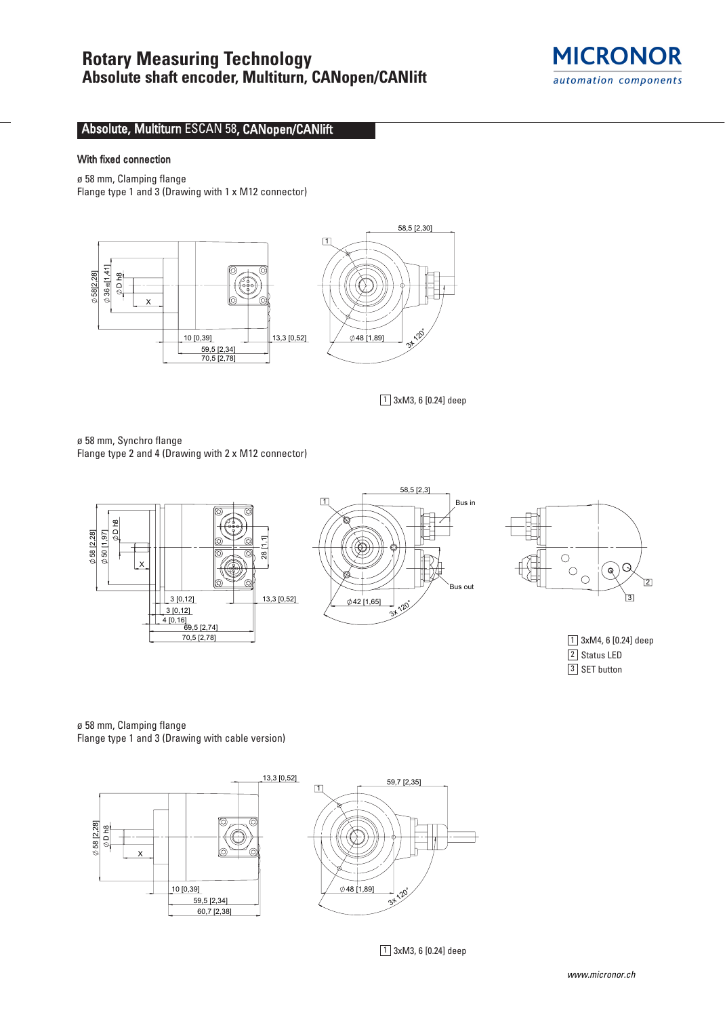

# Absolute, Multiturn ESCAN 58, CANopen/CANlift

### With fixed connection

ø 58 mm, Clamping flange

Flange type 1 and 3 (Drawing with 1 x M12 connector)



 $\boxed{1}$  3xM3, 6 [0.24] deep

ø 58 mm, Synchro flange Flange type 2 and 4 (Drawing with 2 x M12 connector)









ø 58 mm, Clamping flange Flange type 1 and 3 (Drawing with cable version)



1 3xM3, 6 [0.24] deep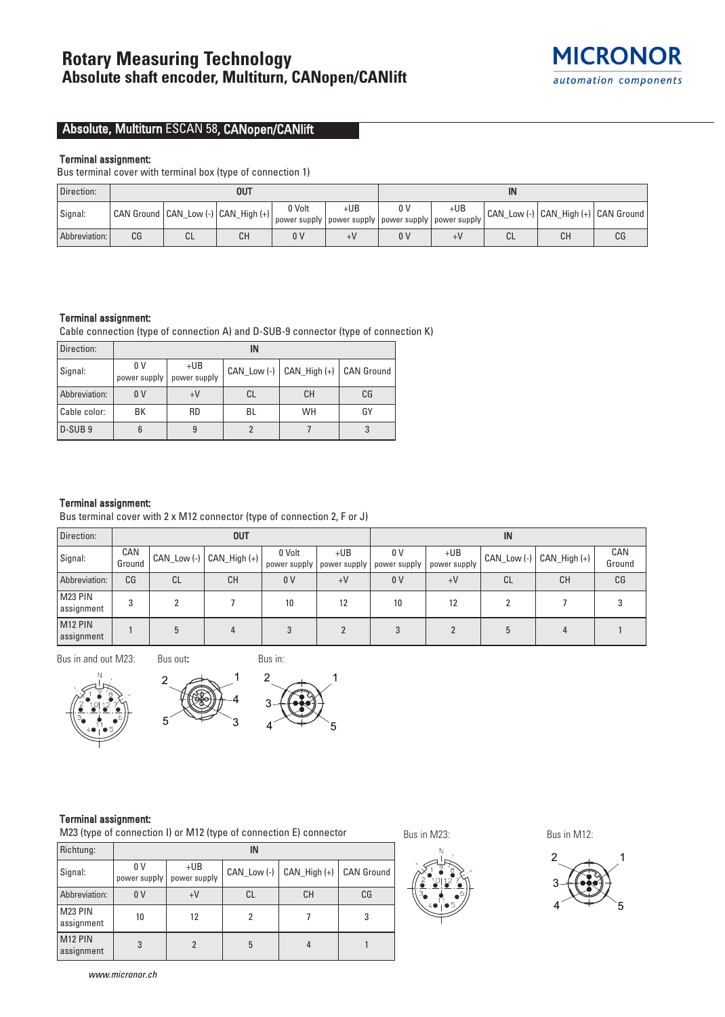

# Absolute, Multiturn ESCAN 58, CANopen/CANlift

#### Terminal assignment:

Bus terminal cover with terminal box (type of connection 1)

| Direction:    | <b>OUT</b> |                 |                                         |                |     | ΙN  |                                                                                 |    |                                         |    |
|---------------|------------|-----------------|-----------------------------------------|----------------|-----|-----|---------------------------------------------------------------------------------|----|-----------------------------------------|----|
| Signal:       |            |                 | CAN Ground   CAN_Low (-)   CAN_High (+) | 0 Volt         | +UB | n v | +UB<br>' power supply   power supply   power supply   power supply <sub> </sub> |    | CAN_Low (-)   CAN_High (+)   CAN Ground |    |
| Abbreviation: | СG         | $\bigcap$<br>◡∟ | CН                                      | 0 <sup>0</sup> |     | 0 V |                                                                                 | ◡∟ | СH                                      | СG |

#### Terminal assignment:

Cable connection (type of connection A) and D-SUB-9 connector (type of connection K)

| Direction:         | ΙN                  |                       |    |                                             |    |  |  |  |  |
|--------------------|---------------------|-----------------------|----|---------------------------------------------|----|--|--|--|--|
| Signal:            | 0 V<br>power supply | $+UB$<br>power supply |    | CAN_Low (-) $ $ CAN_High (+) $ $ CAN Ground |    |  |  |  |  |
| Abbreviation:      | 0 <sup>V</sup>      | $+V$                  | CL | <b>CH</b>                                   | CG |  |  |  |  |
| Cable color:       | ВK                  | <b>RD</b>             | BL | WH                                          | GY |  |  |  |  |
| D-SUB <sub>9</sub> | 6                   | 9                     |    |                                             |    |  |  |  |  |

### Terminal assignment:

Bus terminal cover with 2 x M12 connector (type of connection 2, F or J)

| Direction:                        | <b>OUT</b>    |             |                |                                       |       |                     | IN                    |             |                |               |  |
|-----------------------------------|---------------|-------------|----------------|---------------------------------------|-------|---------------------|-----------------------|-------------|----------------|---------------|--|
| Signal:                           | CAN<br>Ground | CAN_Low (-) | $CAM_High (+)$ | 0 Volt<br>power supply   power supply | $+UB$ | 0 V<br>power supply | $+UB$<br>power supply | CAN_Low (-) | $CAM_High (+)$ | CAN<br>Ground |  |
| Abbreviation:                     | CG            | CL          | CH             | 0 <sub>V</sub>                        | $+V$  | 0 <sub>V</sub>      | $+V$                  | СL          | <b>CH</b>      | CG            |  |
| M23 PIN<br>assignment             | 3             |             |                | 10                                    | 12    | 10                  | 12                    |             |                |               |  |
| M <sub>12</sub> PIN<br>assignment |               |             |                |                                       |       |                     |                       |             |                |               |  |

Bus in and out M23:

Bus out**:**

5





3 4 2 1 5

## Terminal assignment:

M23 (type of connection I) or M12 (type of connection E) connector

| Richtung:                         | IN                             |                       |               |                  |                   |  |  |  |  |
|-----------------------------------|--------------------------------|-----------------------|---------------|------------------|-------------------|--|--|--|--|
| Signal:                           | 0 <sup>V</sup><br>power supply | $+UB$<br>power supply | CAN Low $(-)$ | $CAN$ High $(+)$ | <b>CAN Ground</b> |  |  |  |  |
| Abbreviation:                     | 0 <sup>V</sup>                 | $+V$                  | СL            | СH               | CG                |  |  |  |  |
| M23 PIN<br>assignment             | 10                             | 12                    |               |                  | 3                 |  |  |  |  |
| M <sub>12</sub> PIN<br>assignment | 3                              | 2                     | 5             |                  |                   |  |  |  |  |

Bus in M23: Bus in M12:



www.micronor.ch